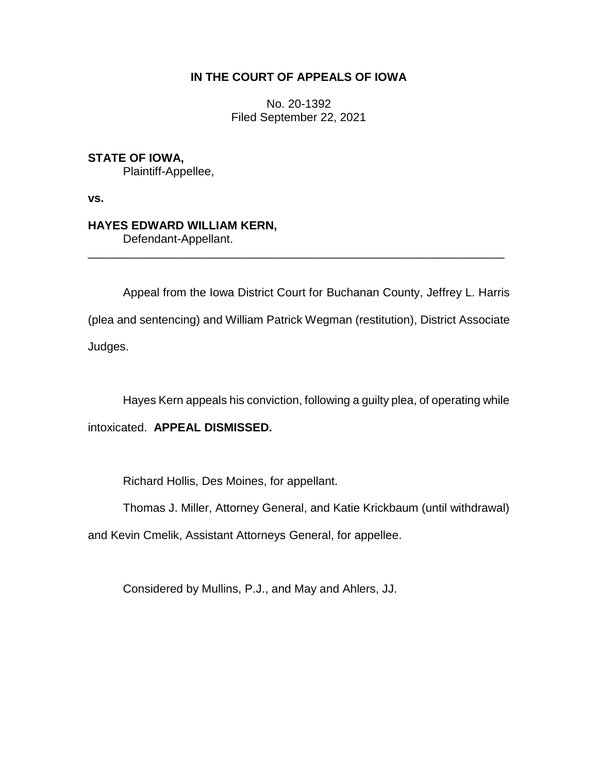## **IN THE COURT OF APPEALS OF IOWA**

No. 20-1392 Filed September 22, 2021

**STATE OF IOWA,**

Plaintiff-Appellee,

**vs.**

## **HAYES EDWARD WILLIAM KERN,**

Defendant-Appellant.

Appeal from the Iowa District Court for Buchanan County, Jeffrey L. Harris (plea and sentencing) and William Patrick Wegman (restitution), District Associate Judges.

\_\_\_\_\_\_\_\_\_\_\_\_\_\_\_\_\_\_\_\_\_\_\_\_\_\_\_\_\_\_\_\_\_\_\_\_\_\_\_\_\_\_\_\_\_\_\_\_\_\_\_\_\_\_\_\_\_\_\_\_\_\_\_\_

Hayes Kern appeals his conviction, following a guilty plea, of operating while intoxicated. **APPEAL DISMISSED.**

Richard Hollis, Des Moines, for appellant.

Thomas J. Miller, Attorney General, and Katie Krickbaum (until withdrawal)

and Kevin Cmelik, Assistant Attorneys General, for appellee.

Considered by Mullins, P.J., and May and Ahlers, JJ.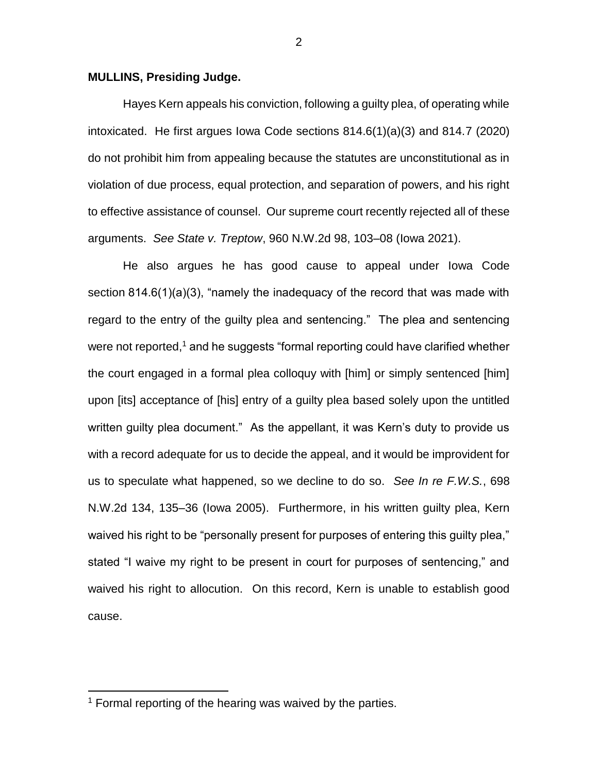## **MULLINS, Presiding Judge.**

Hayes Kern appeals his conviction, following a guilty plea, of operating while intoxicated. He first argues Iowa Code sections 814.6(1)(a)(3) and 814.7 (2020) do not prohibit him from appealing because the statutes are unconstitutional as in violation of due process, equal protection, and separation of powers, and his right to effective assistance of counsel. Our supreme court recently rejected all of these arguments. *See State v. Treptow*, 960 N.W.2d 98, 103–08 (Iowa 2021).

He also argues he has good cause to appeal under Iowa Code section 814.6(1)(a)(3), "namely the inadequacy of the record that was made with regard to the entry of the guilty plea and sentencing." The plea and sentencing were not reported,<sup>1</sup> and he suggests "formal reporting could have clarified whether the court engaged in a formal plea colloquy with [him] or simply sentenced [him] upon [its] acceptance of [his] entry of a guilty plea based solely upon the untitled written guilty plea document." As the appellant, it was Kern's duty to provide us with a record adequate for us to decide the appeal, and it would be improvident for us to speculate what happened, so we decline to do so. *See In re F.W.S.*, 698 N.W.2d 134, 135–36 (Iowa 2005). Furthermore, in his written guilty plea, Kern waived his right to be "personally present for purposes of entering this guilty plea," stated "I waive my right to be present in court for purposes of sentencing," and waived his right to allocution. On this record, Kern is unable to establish good cause.

 $\overline{a}$ 

<sup>&</sup>lt;sup>1</sup> Formal reporting of the hearing was waived by the parties.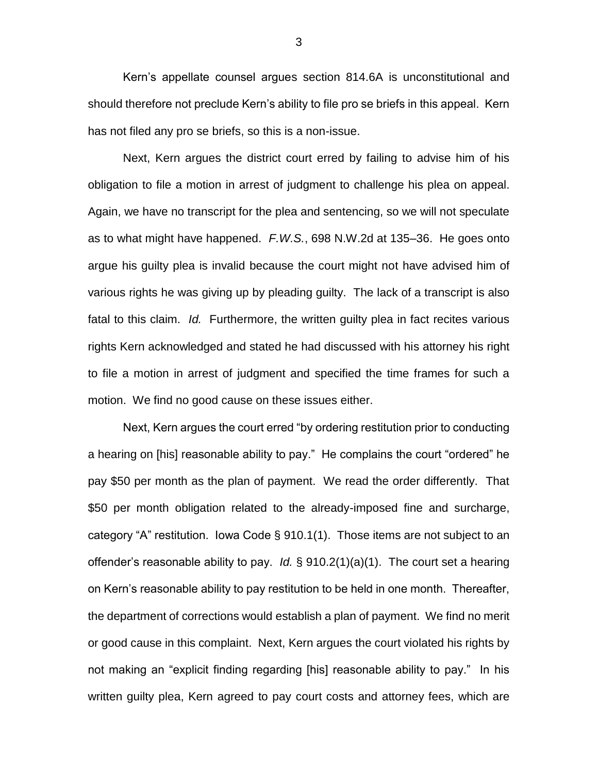Kern's appellate counsel argues section 814.6A is unconstitutional and should therefore not preclude Kern's ability to file pro se briefs in this appeal. Kern has not filed any pro se briefs, so this is a non-issue.

Next, Kern argues the district court erred by failing to advise him of his obligation to file a motion in arrest of judgment to challenge his plea on appeal. Again, we have no transcript for the plea and sentencing, so we will not speculate as to what might have happened. *F.W.S.*, 698 N.W.2d at 135–36. He goes onto argue his guilty plea is invalid because the court might not have advised him of various rights he was giving up by pleading guilty. The lack of a transcript is also fatal to this claim. *Id.* Furthermore, the written guilty plea in fact recites various rights Kern acknowledged and stated he had discussed with his attorney his right to file a motion in arrest of judgment and specified the time frames for such a motion. We find no good cause on these issues either.

Next, Kern argues the court erred "by ordering restitution prior to conducting a hearing on [his] reasonable ability to pay." He complains the court "ordered" he pay \$50 per month as the plan of payment. We read the order differently. That \$50 per month obligation related to the already-imposed fine and surcharge, category "A" restitution. Iowa Code § 910.1(1). Those items are not subject to an offender's reasonable ability to pay. *Id.* § 910.2(1)(a)(1). The court set a hearing on Kern's reasonable ability to pay restitution to be held in one month. Thereafter, the department of corrections would establish a plan of payment. We find no merit or good cause in this complaint. Next, Kern argues the court violated his rights by not making an "explicit finding regarding [his] reasonable ability to pay." In his written guilty plea, Kern agreed to pay court costs and attorney fees, which are

3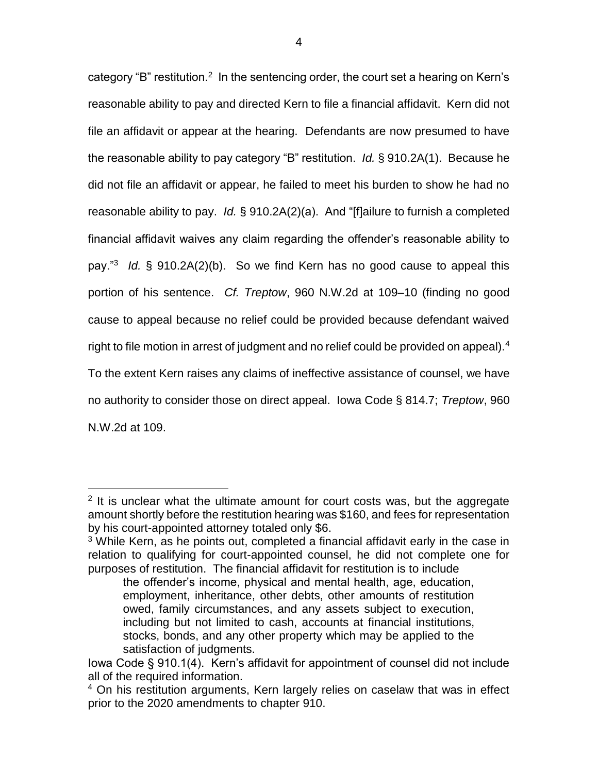category "B" restitution.<sup>2</sup> In the sentencing order, the court set a hearing on Kern's reasonable ability to pay and directed Kern to file a financial affidavit. Kern did not file an affidavit or appear at the hearing. Defendants are now presumed to have the reasonable ability to pay category "B" restitution. *Id.* § 910.2A(1). Because he did not file an affidavit or appear, he failed to meet his burden to show he had no reasonable ability to pay. *Id.* § 910.2A(2)(a). And "[f]ailure to furnish a completed financial affidavit waives any claim regarding the offender's reasonable ability to pay."<sup>3</sup> *Id.* § 910.2A(2)(b). So we find Kern has no good cause to appeal this portion of his sentence. *Cf. Treptow*, 960 N.W.2d at 109–10 (finding no good cause to appeal because no relief could be provided because defendant waived right to file motion in arrest of judgment and no relief could be provided on appeal).<sup>4</sup> To the extent Kern raises any claims of ineffective assistance of counsel, we have no authority to consider those on direct appeal. Iowa Code § 814.7; *Treptow*, 960 N.W.2d at 109.

 $\overline{a}$ 

<sup>&</sup>lt;sup>2</sup> It is unclear what the ultimate amount for court costs was, but the aggregate amount shortly before the restitution hearing was \$160, and fees for representation by his court-appointed attorney totaled only \$6.

<sup>&</sup>lt;sup>3</sup> While Kern, as he points out, completed a financial affidavit early in the case in relation to qualifying for court-appointed counsel, he did not complete one for purposes of restitution. The financial affidavit for restitution is to include

the offender's income, physical and mental health, age, education, employment, inheritance, other debts, other amounts of restitution owed, family circumstances, and any assets subject to execution, including but not limited to cash, accounts at financial institutions, stocks, bonds, and any other property which may be applied to the satisfaction of judgments.

Iowa Code § 910.1(4). Kern's affidavit for appointment of counsel did not include all of the required information.

<sup>&</sup>lt;sup>4</sup> On his restitution arguments, Kern largely relies on caselaw that was in effect prior to the 2020 amendments to chapter 910.